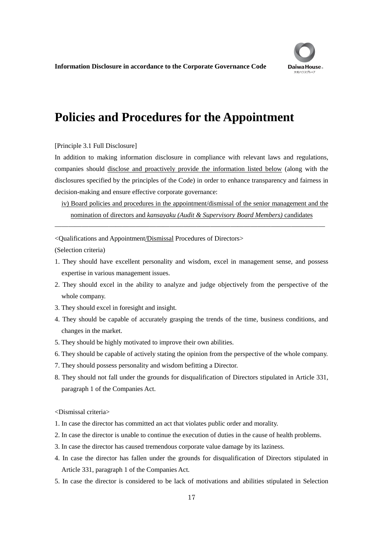

**Information Disclosure in accordance to the Corporate Governance Code**

## **Policies and Procedures for the Appointment**

## [Principle 3.1 Full Disclosure]

In addition to making information disclosure in compliance with relevant laws and regulations, companies should disclose and proactively provide the information listed below (along with the disclosures specified by the principles of the Code) in order to enhance transparency and fairness in decision-making and ensure effective corporate governance:

iv) Board policies and procedures in the appointment/dismissal of the senior management and the nomination of directors and *kansayaku (Audit & Supervisory Board Members)* candidates

――――――――――――――――――――――――――――――――――――――――

<Qualifications and Appointment/Dismissal Procedures of Directors>

(Selection criteria)

- 1. They should have excellent personality and wisdom, excel in management sense, and possess expertise in various management issues.
- 2. They should excel in the ability to analyze and judge objectively from the perspective of the whole company.
- 3. They should excel in foresight and insight.
- 4. They should be capable of accurately grasping the trends of the time, business conditions, and changes in the market.
- 5. They should be highly motivated to improve their own abilities.
- 6. They should be capable of actively stating the opinion from the perspective of the whole company.
- 7. They should possess personality and wisdom befitting a Director.
- 8. They should not fall under the grounds for disqualification of Directors stipulated in Article 331, paragraph 1 of the Companies Act.

<Dismissal criteria>

- 1. In case the director has committed an act that violates public order and morality.
- 2. In case the director is unable to continue the execution of duties in the cause of health problems.
- 3. In case the director has caused tremendous corporate value damage by its laziness.
- 4. In case the director has fallen under the grounds for disqualification of Directors stipulated in Article 331, paragraph 1 of the Companies Act.
- 5. In case the director is considered to be lack of motivations and abilities stipulated in Selection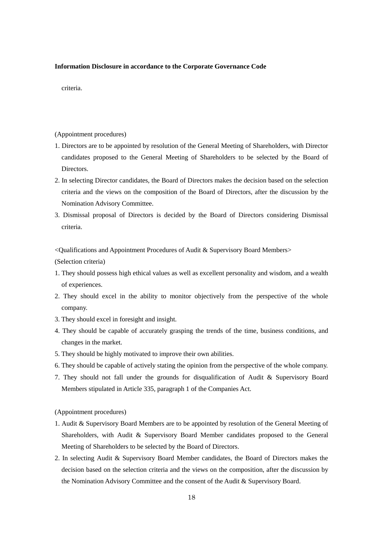## **Information Disclosure in accordance to the Corporate Governance Code**

criteria.

(Appointment procedures)

- 1. Directors are to be appointed by resolution of the General Meeting of Shareholders, with Director candidates proposed to the General Meeting of Shareholders to be selected by the Board of Directors.
- 2. In selecting Director candidates, the Board of Directors makes the decision based on the selection criteria and the views on the composition of the Board of Directors, after the discussion by the Nomination Advisory Committee.
- 3. Dismissal proposal of Directors is decided by the Board of Directors considering Dismissal criteria.

<Qualifications and Appointment Procedures of Audit & Supervisory Board Members>

(Selection criteria)

- 1. They should possess high ethical values as well as excellent personality and wisdom, and a wealth of experiences.
- 2. They should excel in the ability to monitor objectively from the perspective of the whole company.
- 3. They should excel in foresight and insight.
- 4. They should be capable of accurately grasping the trends of the time, business conditions, and changes in the market.
- 5. They should be highly motivated to improve their own abilities.
- 6. They should be capable of actively stating the opinion from the perspective of the whole company.
- 7. They should not fall under the grounds for disqualification of Audit & Supervisory Board Members stipulated in Article 335, paragraph 1 of the Companies Act.

(Appointment procedures)

- 1. Audit & Supervisory Board Members are to be appointed by resolution of the General Meeting of Shareholders, with Audit & Supervisory Board Member candidates proposed to the General Meeting of Shareholders to be selected by the Board of Directors.
- 2. In selecting Audit & Supervisory Board Member candidates, the Board of Directors makes the decision based on the selection criteria and the views on the composition, after the discussion by the Nomination Advisory Committee and the consent of the Audit & Supervisory Board.